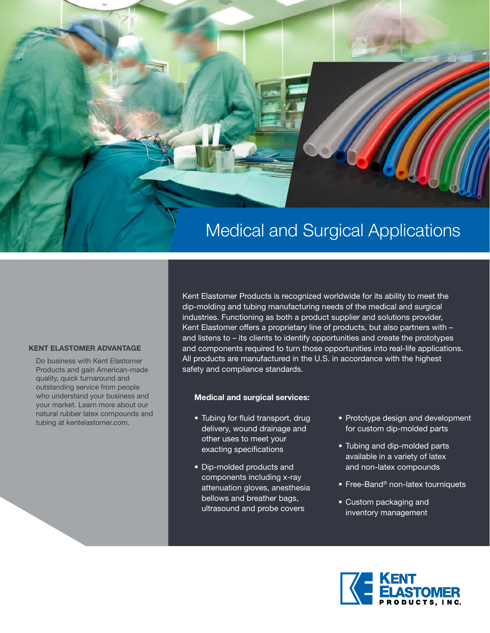

#### **KENT ELASTOMER ADVANTAGE**

Do business with Kent Elastomer Products and gain American-made quality, quick turnaround and outstanding service from people who understand your business and your market. Learn more about our natural rubber latex compounds and tubing at kentelastomer.com.

Kent Elastomer Products is recognized worldwide for its ability to meet the dip-molding and tubing manufacturing needs of the medical and surgical industries. Functioning as both a product supplier and solutions provider, Kent Elastomer offers a proprietary line of products, but also partners with and listens to – its clients to identify opportunities and create the prototypes and components required to turn those opportunities into real-life applications. All products are manufactured in the U.S. in accordance with the highest safety and compliance standards.

#### **Medical and surgical services:**

- Tubing for fluid transport, drug delivery, wound drainage and other uses to meet your exacting specifications
- Dip-molded products and components including x-ray attenuation gloves, anesthesia bellows and breather bags, ultrasound and probe covers
- Prototype design and development for custom dip-molded parts
- Tubing and dip-molded parts available in a variety of latex and non-latex compounds
- Free-Band<sup>®</sup> non-latex tourniquets
- Custom packaging and inventory management